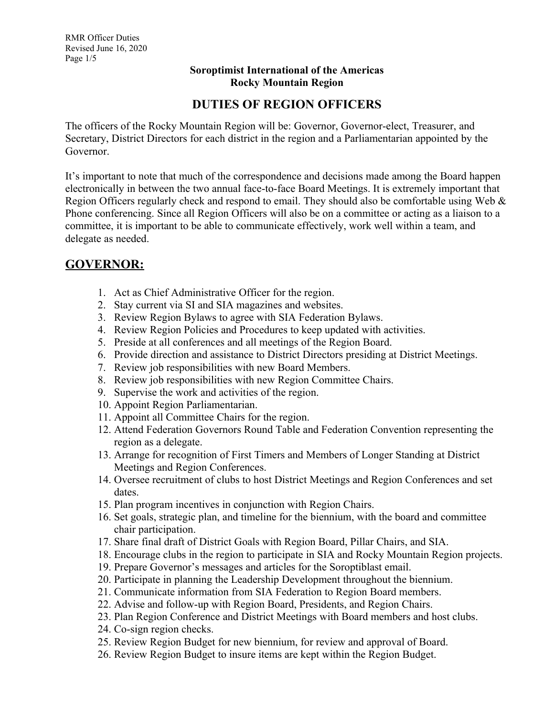### **Soroptimist International of the Americas Rocky Mountain Region**

## **DUTIES OF REGION OFFICERS**

The officers of the Rocky Mountain Region will be: Governor, Governor-elect, Treasurer, and Secretary, District Directors for each district in the region and a Parliamentarian appointed by the Governor.

It's important to note that much of the correspondence and decisions made among the Board happen electronically in between the two annual face-to-face Board Meetings. It is extremely important that Region Officers regularly check and respond to email. They should also be comfortable using Web & Phone conferencing. Since all Region Officers will also be on a committee or acting as a liaison to a committee, it is important to be able to communicate effectively, work well within a team, and delegate as needed.

# **GOVERNOR:**

- 1. Act as Chief Administrative Officer for the region.
- 2. Stay current via SI and SIA magazines and websites.
- 3. Review Region Bylaws to agree with SIA Federation Bylaws.
- 4. Review Region Policies and Procedures to keep updated with activities.
- 5. Preside at all conferences and all meetings of the Region Board.
- 6. Provide direction and assistance to District Directors presiding at District Meetings.
- 7. Review job responsibilities with new Board Members.
- 8. Review job responsibilities with new Region Committee Chairs.
- 9. Supervise the work and activities of the region.
- 10. Appoint Region Parliamentarian.
- 11. Appoint all Committee Chairs for the region.
- 12. Attend Federation Governors Round Table and Federation Convention representing the region as a delegate.
- 13. Arrange for recognition of First Timers and Members of Longer Standing at District Meetings and Region Conferences.
- 14. Oversee recruitment of clubs to host District Meetings and Region Conferences and set dates.
- 15. Plan program incentives in conjunction with Region Chairs.
- 16. Set goals, strategic plan, and timeline for the biennium, with the board and committee chair participation.
- 17. Share final draft of District Goals with Region Board, Pillar Chairs, and SIA.
- 18. Encourage clubs in the region to participate in SIA and Rocky Mountain Region projects.
- 19. Prepare Governor's messages and articles for the Soroptiblast email.
- 20. Participate in planning the Leadership Development throughout the biennium.
- 21. Communicate information from SIA Federation to Region Board members.
- 22. Advise and follow-up with Region Board, Presidents, and Region Chairs.
- 23. Plan Region Conference and District Meetings with Board members and host clubs.
- 24. Co-sign region checks.
- 25. Review Region Budget for new biennium, for review and approval of Board.
- 26. Review Region Budget to insure items are kept within the Region Budget.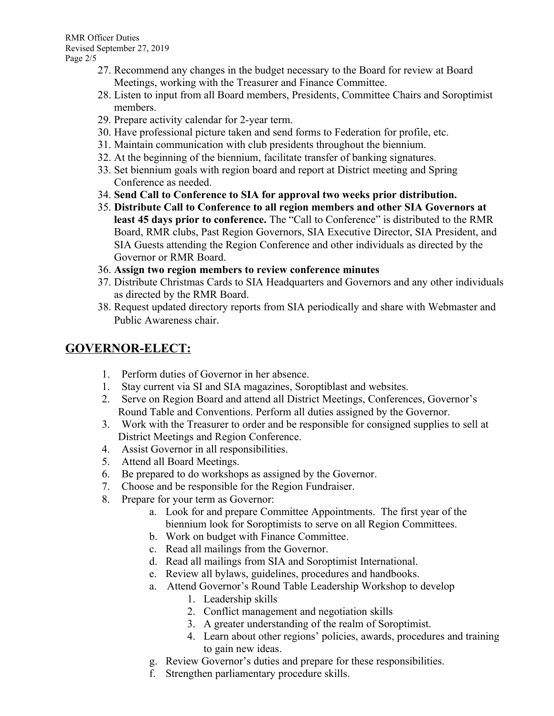RMR Officer Duties Revised September 27, 2019 Page 2/5

- 27. Recommend any changes in the budget necessary to the Board for review at Board Meetings, working with the Treasurer and Finance Committee.
- 28. Listen to input from all Board members, Presidents, Committee Chairs and Soroptimist members.
- 29. Prepare activity calendar for 2-year term.
- 30. Have professional picture taken and send forms to Federation for profile, etc.
- 31. Maintain communication with club presidents throughout the biennium.
- 32. At the beginning of the biennium, facilitate transfer of banking signatures.
- 33. Set biennium goals with region board and report at District meeting and Spring Conference as needed.
- 34. **Send Call to Conference to SIA for approval two weeks prior distribution.**
- 35. **Distribute Call to Conference to all region members and other SIA Governors at least 45 days prior to conference.** The "Call to Conference" is distributed to the RMR Board, RMR clubs, Past Region Governors, SIA Executive Director, SIA President, and SIA Guests attending the Region Conference and other individuals as directed by the Governor or RMR Board.
- 36. **Assign two region members to review conference minutes**
- 37. Distribute Christmas Cards to SIA Headquarters and Governors and any other individuals as directed by the RMR Board.
- 38. Request updated directory reports from SIA periodically and share with Webmaster and Public Awareness chair.

## **GOVERNOR-ELECT:**

- 1. Perform duties of Governor in her absence.
- 1. Stay current via SI and SIA magazines, Soroptiblast and websites.
- 2. Serve on Region Board and attend all District Meetings, Conferences, Governor's Round Table and Conventions. Perform all duties assigned by the Governor.
- 3. Work with the Treasurer to order and be responsible for consigned supplies to sell at District Meetings and Region Conference.
- 4. Assist Governor in all responsibilities.
- 5. Attend all Board Meetings.
- 6. Be prepared to do workshops as assigned by the Governor.
- 7. Choose and be responsible for the Region Fundraiser.
- 8. Prepare for your term as Governor:
	- a. Look for and prepare Committee Appointments. The first year of the biennium look for Soroptimists to serve on all Region Committees.
	- b. Work on budget with Finance Committee.
	- c. Read all mailings from the Governor.
	- d. Read all mailings from SIA and Soroptimist International.
	- e. Review all bylaws, guidelines, procedures and handbooks.
	- a. Attend Governor's Round Table Leadership Workshop to develop
		- 1. Leadership skills
		- 2. Conflict management and negotiation skills
		- 3. A greater understanding of the realm of Soroptimist.
		- 4. Learn about other regions' policies, awards, procedures and training to gain new ideas.
	- g. Review Governor's duties and prepare for these responsibilities.
	- f. Strengthen parliamentary procedure skills.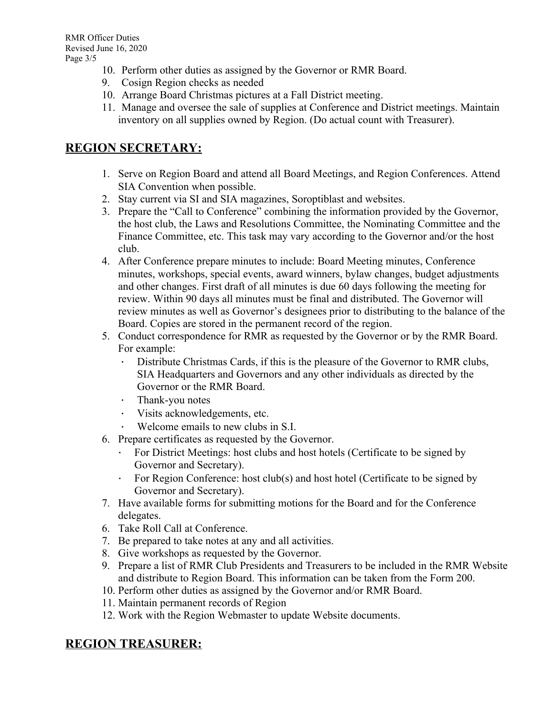- 10. Perform other duties as assigned by the Governor or RMR Board.
- 9. Cosign Region checks as needed
- 10. Arrange Board Christmas pictures at a Fall District meeting.
- 11. Manage and oversee the sale of supplies at Conference and District meetings. Maintain inventory on all supplies owned by Region. (Do actual count with Treasurer).

# **REGION SECRETARY:**

- 1. Serve on Region Board and attend all Board Meetings, and Region Conferences. Attend SIA Convention when possible.
- 2. Stay current via SI and SIA magazines, Soroptiblast and websites.
- 3. Prepare the "Call to Conference" combining the information provided by the Governor, the host club, the Laws and Resolutions Committee, the Nominating Committee and the Finance Committee, etc. This task may vary according to the Governor and/or the host club.
- 4. After Conference prepare minutes to include: Board Meeting minutes, Conference minutes, workshops, special events, award winners, bylaw changes, budget adjustments and other changes. First draft of all minutes is due 60 days following the meeting for review. Within 90 days all minutes must be final and distributed. The Governor will review minutes as well as Governor's designees prior to distributing to the balance of the Board. Copies are stored in the permanent record of the region.
- 5. Conduct correspondence for RMR as requested by the Governor or by the RMR Board. For example:
	- Distribute Christmas Cards, if this is the pleasure of the Governor to RMR clubs, SIA Headquarters and Governors and any other individuals as directed by the Governor or the RMR Board.
	- Thank-you notes
	- · Visits acknowledgements, etc.
	- · Welcome emails to new clubs in S.I.
- 6. Prepare certificates as requested by the Governor.
	- · For District Meetings: host clubs and host hotels (Certificate to be signed by Governor and Secretary).
	- · For Region Conference: host club(s) and host hotel (Certificate to be signed by Governor and Secretary).
- 7. Have available forms for submitting motions for the Board and for the Conference delegates.
- 6. Take Roll Call at Conference.
- 7. Be prepared to take notes at any and all activities.
- 8. Give workshops as requested by the Governor.
- 9. Prepare a list of RMR Club Presidents and Treasurers to be included in the RMR Website and distribute to Region Board. This information can be taken from the Form 200.
- 10. Perform other duties as assigned by the Governor and/or RMR Board.
- 11. Maintain permanent records of Region
- 12. Work with the Region Webmaster to update Website documents.

# **REGION TREASURER:**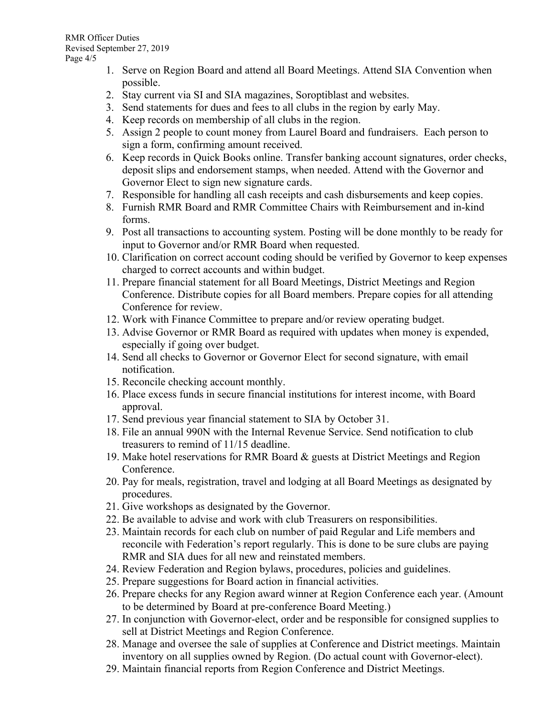- 1. Serve on Region Board and attend all Board Meetings. Attend SIA Convention when possible.
- 2. Stay current via SI and SIA magazines, Soroptiblast and websites.
- 3. Send statements for dues and fees to all clubs in the region by early May.
- 4. Keep records on membership of all clubs in the region.
- 5. Assign 2 people to count money from Laurel Board and fundraisers. Each person to sign a form, confirming amount received.
- 6. Keep records in Quick Books online. Transfer banking account signatures, order checks, deposit slips and endorsement stamps, when needed. Attend with the Governor and Governor Elect to sign new signature cards.
- 7. Responsible for handling all cash receipts and cash disbursements and keep copies.
- 8. Furnish RMR Board and RMR Committee Chairs with Reimbursement and in-kind forms.
- 9. Post all transactions to accounting system. Posting will be done monthly to be ready for input to Governor and/or RMR Board when requested.
- 10. Clarification on correct account coding should be verified by Governor to keep expenses charged to correct accounts and within budget.
- 11. Prepare financial statement for all Board Meetings, District Meetings and Region Conference. Distribute copies for all Board members. Prepare copies for all attending Conference for review.
- 12. Work with Finance Committee to prepare and/or review operating budget.
- 13. Advise Governor or RMR Board as required with updates when money is expended, especially if going over budget.
- 14. Send all checks to Governor or Governor Elect for second signature, with email notification.
- 15. Reconcile checking account monthly.
- 16. Place excess funds in secure financial institutions for interest income, with Board approval.
- 17. Send previous year financial statement to SIA by October 31.
- 18. File an annual 990N with the Internal Revenue Service. Send notification to club treasurers to remind of 11/15 deadline.
- 19. Make hotel reservations for RMR Board & guests at District Meetings and Region Conference.
- 20. Pay for meals, registration, travel and lodging at all Board Meetings as designated by procedures.
- 21. Give workshops as designated by the Governor.
- 22. Be available to advise and work with club Treasurers on responsibilities.
- 23. Maintain records for each club on number of paid Regular and Life members and reconcile with Federation's report regularly. This is done to be sure clubs are paying RMR and SIA dues for all new and reinstated members.
- 24. Review Federation and Region bylaws, procedures, policies and guidelines.
- 25. Prepare suggestions for Board action in financial activities.
- 26. Prepare checks for any Region award winner at Region Conference each year. (Amount to be determined by Board at pre-conference Board Meeting.)
- 27. In conjunction with Governor-elect, order and be responsible for consigned supplies to sell at District Meetings and Region Conference.
- 28. Manage and oversee the sale of supplies at Conference and District meetings. Maintain inventory on all supplies owned by Region. (Do actual count with Governor-elect).
- 29. Maintain financial reports from Region Conference and District Meetings.